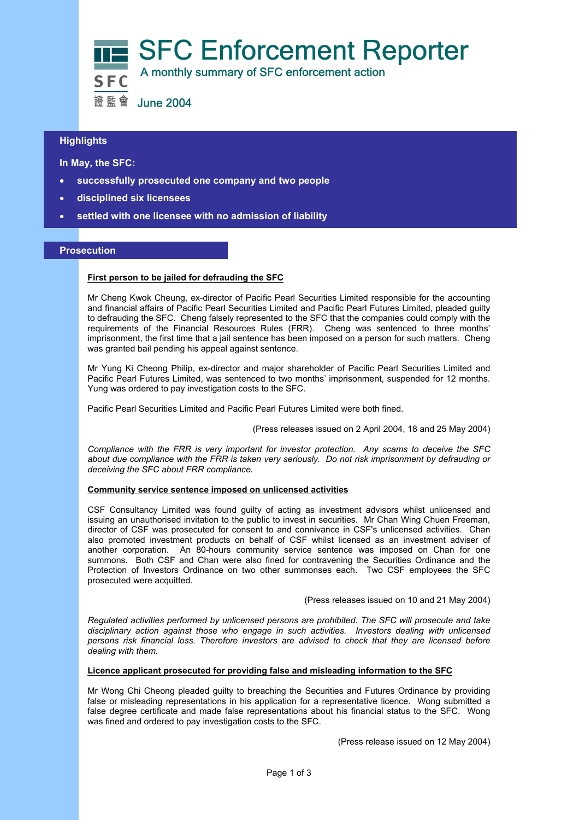

# **Highlights**

 **In May, the SFC:** 

- **successfully prosecuted one company and two people**
- **disciplined six licensees**
- **settled with one licensee with no admission of liability**

# **Prosecution**

## **First person to be jailed for defrauding the SFC**

Mr Cheng Kwok Cheung, ex-director of Pacific Pearl Securities Limited responsible for the accounting and financial affairs of Pacific Pearl Securities Limited and Pacific Pearl Futures Limited, pleaded guilty to defrauding the SFC. Cheng falsely represented to the SFC that the companies could comply with the requirements of the Financial Resources Rules (FRR). Cheng was sentenced to three months' imprisonment, the first time that a jail sentence has been imposed on a person for such matters. Cheng was granted bail pending his appeal against sentence.

Mr Yung Ki Cheong Philip, ex-director and major shareholder of Pacific Pearl Securities Limited and Pacific Pearl Futures Limited, was sentenced to two months' imprisonment, suspended for 12 months. Yung was ordered to pay investigation costs to the SFC.

Pacific Pearl Securities Limited and Pacific Pearl Futures Limited were both fined.

(Press releases issued on 2 April 2004, 18 and 25 May 2004)

*Compliance with the FRR is very important for investor protection. Any scams to deceive the SFC about due compliance with the FRR is taken very seriously. Do not risk imprisonment by defrauding or deceiving the SFC about FRR compliance.* 

## **Community service sentence imposed on unlicensed activities**

CSF Consultancy Limited was found guilty of acting as investment advisors whilst unlicensed and issuing an unauthorised invitation to the public to invest in securities. Mr Chan Wing Chuen Freeman, director of CSF was prosecuted for consent to and connivance in CSF's unlicensed activities. Chan also promoted investment products on behalf of CSF whilst licensed as an investment adviser of another corporation. An 80-hours community service sentence was imposed on Chan for one summons. Both CSF and Chan were also fined for contravening the Securities Ordinance and the Protection of Investors Ordinance on two other summonses each. Two CSF employees the SFC prosecuted were acquitted.

(Press releases issued on 10 and 21 May 2004)

*Regulated activities performed by unlicensed persons are prohibited. The SFC will prosecute and take disciplinary action against those who engage in such activities. Investors dealing with unlicensed persons risk financial loss. Therefore investors are advised to check that they are licensed before dealing with them.*

### **Licence applicant prosecuted for providing false and misleading information to the SFC**

Mr Wong Chi Cheong pleaded guilty to breaching the Securities and Futures Ordinance by providing false or misleading representations in his application for a representative licence. Wong submitted a false degree certificate and made false representations about his financial status to the SFC. Wong was fined and ordered to pay investigation costs to the SFC.

(Press release issued on 12 May 2004)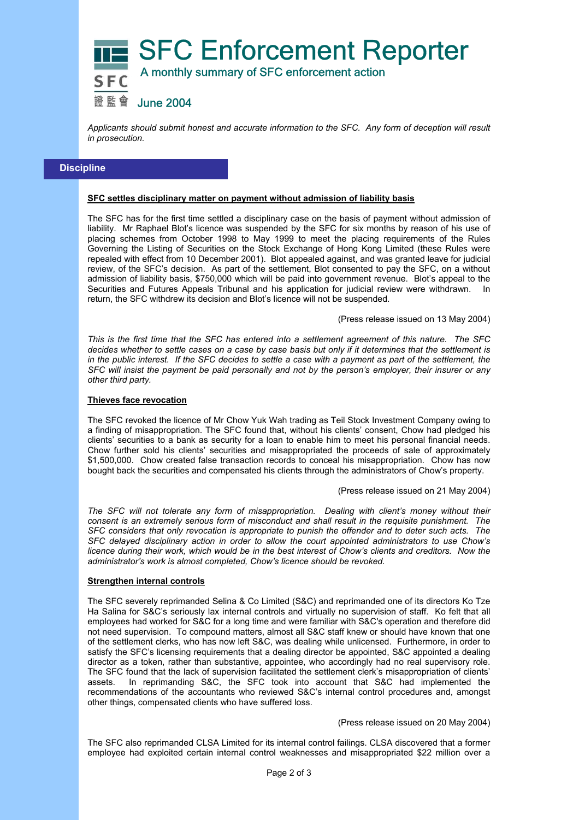

*Applicants should submit honest and accurate information to the SFC. Any form of deception will result in prosecution.* 

# **Discipline**

#### **SFC settles disciplinary matter on payment without admission of liability basis**

The SFC has for the first time settled a disciplinary case on the basis of payment without admission of liability. Mr Raphael Blot's licence was suspended by the SFC for six months by reason of his use of placing schemes from October 1998 to May 1999 to meet the placing requirements of the Rules Governing the Listing of Securities on the Stock Exchange of Hong Kong Limited (these Rules were repealed with effect from 10 December 2001). Blot appealed against, and was granted leave for judicial review, of the SFC's decision. As part of the settlement, Blot consented to pay the SFC, on a without admission of liability basis, \$750,000 which will be paid into government revenue. Blot's appeal to the Securities and Futures Appeals Tribunal and his application for judicial review were withdrawn. In return, the SFC withdrew its decision and Blot's licence will not be suspended.

(Press release issued on 13 May 2004)

*This is the first time that the SFC has entered into a settlement agreement of this nature. The SFC decides whether to settle cases on a case by case basis but only if it determines that the settlement is in the public interest. If the SFC decides to settle a case with a payment as part of the settlement, the SFC will insist the payment be paid personally and not by the person's employer, their insurer or any other third party.*

## **Thieves face revocation**

The SFC revoked the licence of Mr Chow Yuk Wah trading as Teil Stock Investment Company owing to a finding of misappropriation. The SFC found that, without his clients' consent, Chow had pledged his clients' securities to a bank as security for a loan to enable him to meet his personal financial needs. Chow further sold his clients' securities and misappropriated the proceeds of sale of approximately \$1,500,000. Chow created false transaction records to conceal his misappropriation. Chow has now bought back the securities and compensated his clients through the administrators of Chow's property.

(Press release issued on 21 May 2004)

*The SFC will not tolerate any form of misappropriation. Dealing with client's money without their consent is an extremely serious form of misconduct and shall result in the requisite punishment. The SFC considers that only revocation is appropriate to punish the offender and to deter such acts. The SFC delayed disciplinary action in order to allow the court appointed administrators to use Chow's licence during their work, which would be in the best interest of Chow's clients and creditors. Now the administrator's work is almost completed, Chow's licence should be revoked.* 

#### **Strengthen internal controls**

The SFC severely reprimanded Selina & Co Limited (S&C) and reprimanded one of its directors Ko Tze Ha Salina for S&C's seriously lax internal controls and virtually no supervision of staff. Ko felt that all employees had worked for S&C for a long time and were familiar with S&C's operation and therefore did not need supervision. To compound matters, almost all S&C staff knew or should have known that one of the settlement clerks, who has now left S&C, was dealing while unlicensed. Furthermore, in order to satisfy the SFC's licensing requirements that a dealing director be appointed, S&C appointed a dealing director as a token, rather than substantive, appointee, who accordingly had no real supervisory role. The SFC found that the lack of supervision facilitated the settlement clerk's misappropriation of clients' assets. In reprimanding S&C, the SFC took into account that S&C had implemented the recommendations of the accountants who reviewed S&C's internal control procedures and, amongst other things, compensated clients who have suffered loss.

#### (Press release issued on 20 May 2004)

The SFC also reprimanded CLSA Limited for its internal control failings. CLSA discovered that a former employee had exploited certain internal control weaknesses and misappropriated \$22 million over a